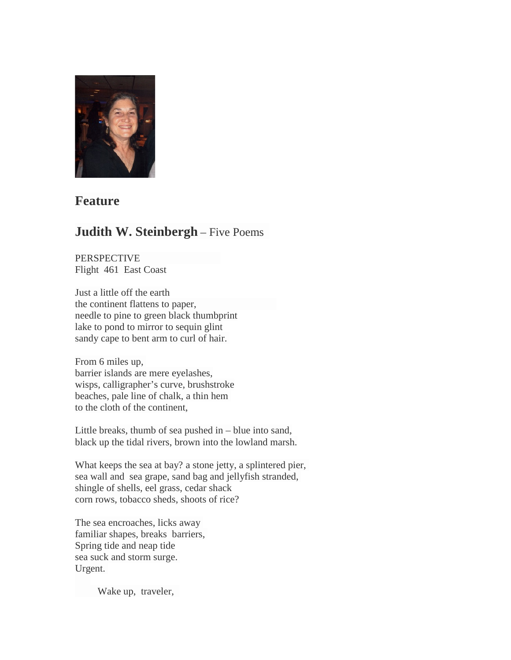

## **Feature**

# **Judith W. Steinbergh** – Five Poems

PERSPECTIVE Flight 461 East Coast

Just a little off the earth the continent flattens to paper, needle to pine to green black thumbprint lake to pond to mirror to sequin glint sandy cape to bent arm to curl of hair.

From 6 miles up, barrier islands are mere eyelashes, wisps, calligrapher's curve, brushstroke beaches, pale line of chalk, a thin hem to the cloth of the continent,

Little breaks, thumb of sea pushed in – blue into sand, black up the tidal rivers, brown into the lowland marsh.

What keeps the sea at bay? a stone jetty, a splintered pier, sea wall and sea grape, sand bag and jellyfish stranded, shingle of shells, eel grass, cedar shack corn rows, tobacco sheds, shoots of rice?

The sea encroaches, licks away familiar shapes, breaks barriers, Spring tide and neap tide sea suck and storm surge. Urgent.

Wake up, traveler,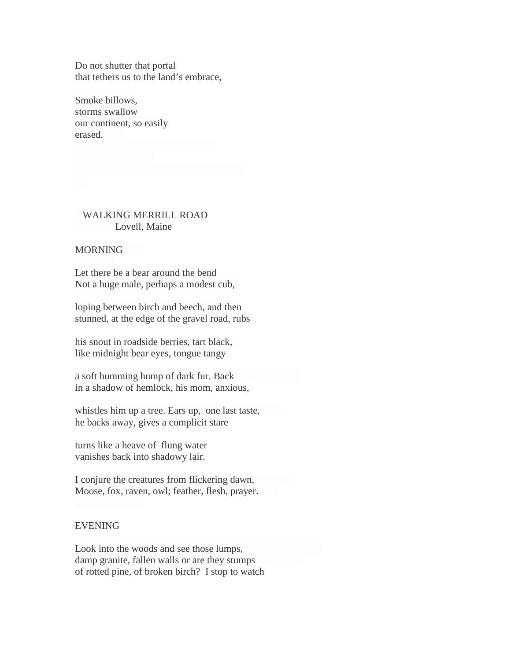Do not shutter that portal that tethers us to the land's embrace,

Smoke billows, storms swallow our continent, so easily erased.

### WALKING MERRILL ROAD Lovell, Maine

#### **MORNING**

Let there be a bear around the bend Not a huge male, perhaps a modest cub,

loping between birch and beech, and then stunned, at the edge of the gravel road, rubs

his snout in roadside berries, tart black, like midnight bear eyes, tongue tangy

a soft humming hump of dark fur. Back in a shadow of hemlock, his mom, anxious,

whistles him up a tree. Ears up, one last taste, he backs away, gives a complicit stare

turns like a heave of flung water vanishes back into shadowy lair.

I conjure the creatures from flickering dawn, Moose, fox, raven, owl; feather, flesh, prayer.

#### EVENING

Look into the woods and see those lumps, damp granite, fallen walls or are they stumps of rotted pine, of broken birch? I stop to watch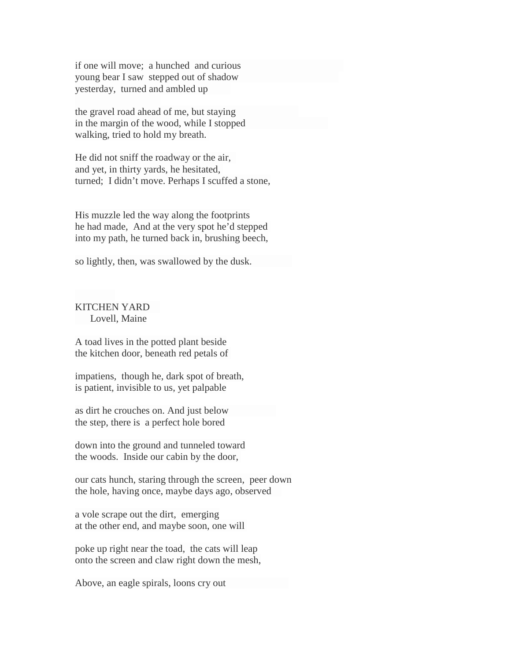if one will move; a hunched and curious young bear I saw stepped out of shadow yesterday, turned and ambled up

the gravel road ahead of me, but staying in the margin of the wood, while I stopped walking, tried to hold my breath.

He did not sniff the roadway or the air, and yet, in thirty yards, he hesitated, turned; I didn't move. Perhaps I scuffed a stone,

His muzzle led the way along the footprints he had made, And at the very spot he'd stepped into my path, he turned back in, brushing beech,

so lightly, then, was swallowed by the dusk.

KITCHEN YARD Lovell, Maine

A toad lives in the potted plant beside the kitchen door, beneath red petals of

impatiens, though he, dark spot of breath, is patient, invisible to us, yet palpable

as dirt he crouches on. And just below the step, there is a perfect hole bored

down into the ground and tunneled toward the woods. Inside our cabin by the door,

our cats hunch, staring through the screen, peer down the hole, having once, maybe days ago, observed

a vole scrape out the dirt, emerging at the other end, and maybe soon, one will

poke up right near the toad, the cats will leap onto the screen and claw right down the mesh,

Above, an eagle spirals, loons cry out